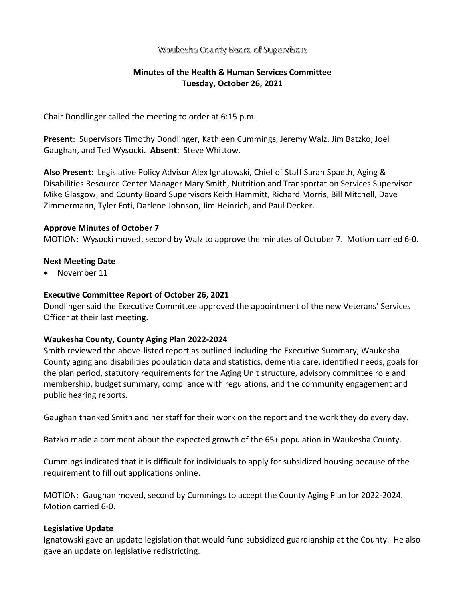### Waukesha County Board of Supervisors

# **Minutes of the Health & Human Services Committee Tuesday, October 26, 2021**

Chair Dondlinger called the meeting to order at 6:15 p.m.

**Present**: Supervisors Timothy Dondlinger, Kathleen Cummings, Jeremy Walz, Jim Batzko, Joel Gaughan, and Ted Wysocki. **Absent**: Steve Whittow.

**Also Present**: Legislative Policy Advisor Alex Ignatowski, Chief of Staff Sarah Spaeth, Aging & Disabilities Resource Center Manager Mary Smith, Nutrition and Transportation Services Supervisor Mike Glasgow, and County Board Supervisors Keith Hammitt, Richard Morris, Bill Mitchell, Dave Zimmermann, Tyler Foti, Darlene Johnson, Jim Heinrich, and Paul Decker.

#### **Approve Minutes of October 7**

MOTION: Wysocki moved, second by Walz to approve the minutes of October 7. Motion carried 6-0.

## **Next Meeting Date**

• November 11

## **Executive Committee Report of October 26, 2021**

Dondlinger said the Executive Committee approved the appointment of the new Veterans' Services Officer at their last meeting.

#### **Waukesha County, County Aging Plan 2022-2024**

Smith reviewed the above-listed report as outlined including the Executive Summary, Waukesha County aging and disabilities population data and statistics, dementia care, identified needs, goals for the plan period, statutory requirements for the Aging Unit structure, advisory committee role and membership, budget summary, compliance with regulations, and the community engagement and public hearing reports.

Gaughan thanked Smith and her staff for their work on the report and the work they do every day.

Batzko made a comment about the expected growth of the 65+ population in Waukesha County.

Cummings indicated that it is difficult for individuals to apply for subsidized housing because of the requirement to fill out applications online.

MOTION: Gaughan moved, second by Cummings to accept the County Aging Plan for 2022-2024. Motion carried 6-0.

## **Legislative Update**

Ignatowski gave an update legislation that would fund subsidized guardianship at the County. He also gave an update on legislative redistricting.